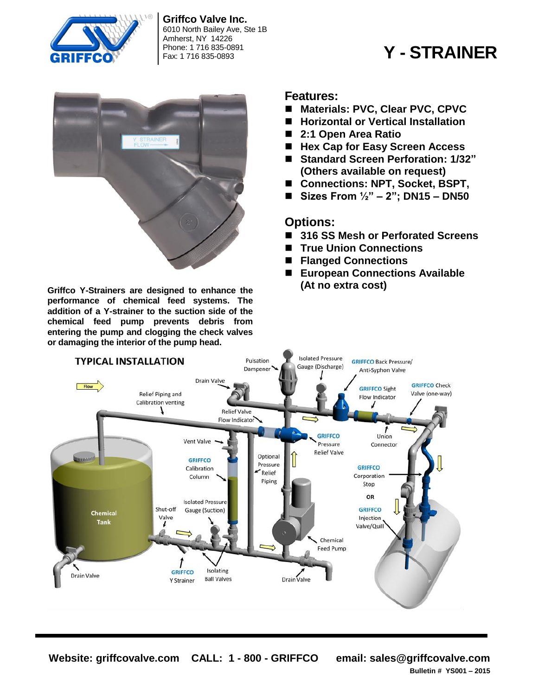

**Griffco Valve Inc.** 6010 North Bailey Ave, Ste 1B Amherst, NY 14226 Phone: 1 716 835-0891

# Fax: 1 716 835-0893 **Y - STRAINER**



**Griffco Y-Strainers are designed to enhance the performance of chemical feed systems. The addition of a Y-strainer to the suction side of the chemical feed pump prevents debris from entering the pump and clogging the check valves or damaging the interior of the pump head.**

### **Features:**

- Materials: PVC, Clear PVC, CPVC
- Horizontal or Vertical Installation
- **2:1 Open Area Ratio**
- Hex Cap for Easy Screen Access
- **Standard Screen Perforation: 1/32" (Others available on request)**
- Connections: NPT, Socket, BSPT,
- **Sizes From ½" – 2"; DN15 – DN50**

### **Options:**

- 316 SS Mesh or Perforated Screens
- **True Union Connections**
- **Flanged Connections**
- **European Connections Available (At no extra cost)**